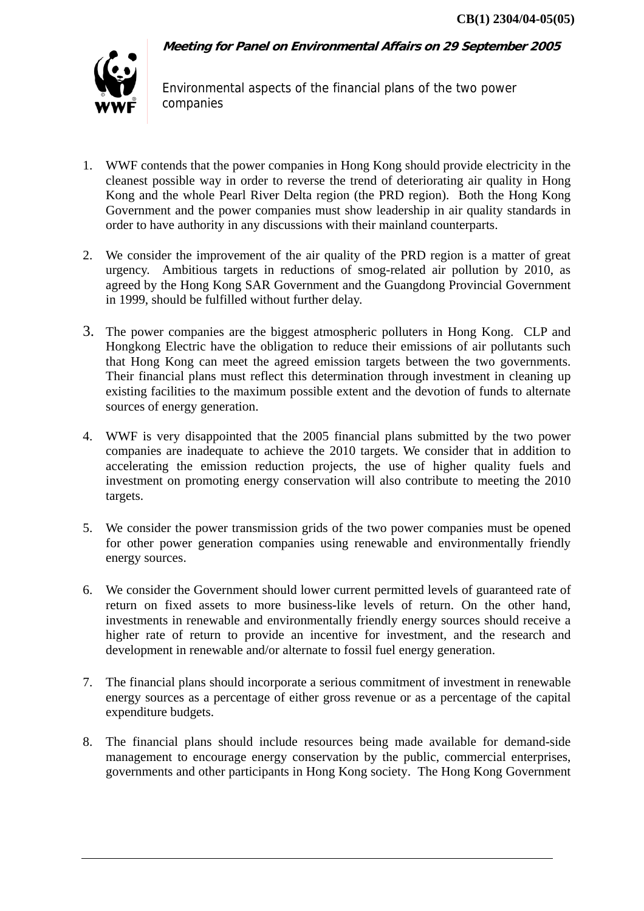**Meeting for Panel on Environmental Affairs on 29 September 2005** 

Environmental aspects of the financial plans of the two power companies

- 1. WWF contends that the power companies in Hong Kong should provide electricity in the cleanest possible way in order to reverse the trend of deteriorating air quality in Hong Kong and the whole Pearl River Delta region (the PRD region). Both the Hong Kong Government and the power companies must show leadership in air quality standards in order to have authority in any discussions with their mainland counterparts.
- 2. We consider the improvement of the air quality of the PRD region is a matter of great urgency. Ambitious targets in reductions of smog-related air pollution by 2010, as agreed by the Hong Kong SAR Government and the Guangdong Provincial Government in 1999, should be fulfilled without further delay.
- 3. The power companies are the biggest atmospheric polluters in Hong Kong. CLP and Hongkong Electric have the obligation to reduce their emissions of air pollutants such that Hong Kong can meet the agreed emission targets between the two governments. Their financial plans must reflect this determination through investment in cleaning up existing facilities to the maximum possible extent and the devotion of funds to alternate sources of energy generation.
- 4. WWF is very disappointed that the 2005 financial plans submitted by the two power companies are inadequate to achieve the 2010 targets. We consider that in addition to accelerating the emission reduction projects, the use of higher quality fuels and investment on promoting energy conservation will also contribute to meeting the 2010 targets.
- 5. We consider the power transmission grids of the two power companies must be opened for other power generation companies using renewable and environmentally friendly energy sources.
- 6. We consider the Government should lower current permitted levels of guaranteed rate of return on fixed assets to more business-like levels of return. On the other hand, investments in renewable and environmentally friendly energy sources should receive a higher rate of return to provide an incentive for investment, and the research and development in renewable and/or alternate to fossil fuel energy generation.
- 7. The financial plans should incorporate a serious commitment of investment in renewable energy sources as a percentage of either gross revenue or as a percentage of the capital expenditure budgets.
- 8. The financial plans should include resources being made available for demand-side management to encourage energy conservation by the public, commercial enterprises, governments and other participants in Hong Kong society. The Hong Kong Government